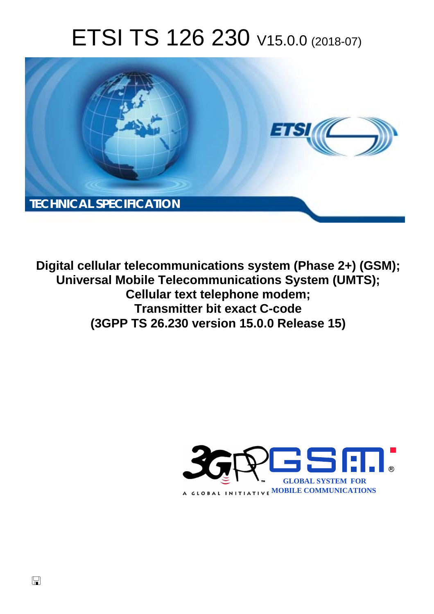# ETSI TS 126 230 V15.0.0 (2018-07)



**Digital cellular telecommunications system (Phase 2+) (GSM); Universal Mobile Telecommunications System (UMTS); Cellular text telephone modem; Transmitter bit exact C-code (3GPP TS 26.230 version 15.0.0 Release 15)** 

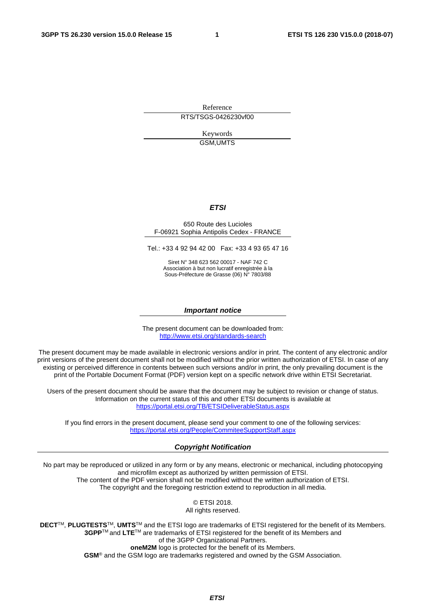Reference RTS/TSGS-0426230vf00

> Keywords GSM,UMTS

#### *ETSI*

#### 650 Route des Lucioles F-06921 Sophia Antipolis Cedex - FRANCE

Tel.: +33 4 92 94 42 00 Fax: +33 4 93 65 47 16

Siret N° 348 623 562 00017 - NAF 742 C Association à but non lucratif enregistrée à la Sous-Préfecture de Grasse (06) N° 7803/88

#### *Important notice*

The present document can be downloaded from: <http://www.etsi.org/standards-search>

The present document may be made available in electronic versions and/or in print. The content of any electronic and/or print versions of the present document shall not be modified without the prior written authorization of ETSI. In case of any existing or perceived difference in contents between such versions and/or in print, the only prevailing document is the print of the Portable Document Format (PDF) version kept on a specific network drive within ETSI Secretariat.

Users of the present document should be aware that the document may be subject to revision or change of status. Information on the current status of this and other ETSI documents is available at <https://portal.etsi.org/TB/ETSIDeliverableStatus.aspx>

If you find errors in the present document, please send your comment to one of the following services: <https://portal.etsi.org/People/CommiteeSupportStaff.aspx>

#### *Copyright Notification*

No part may be reproduced or utilized in any form or by any means, electronic or mechanical, including photocopying and microfilm except as authorized by written permission of ETSI. The content of the PDF version shall not be modified without the written authorization of ETSI. The copyright and the foregoing restriction extend to reproduction in all media.

> © ETSI 2018. All rights reserved.

**DECT**TM, **PLUGTESTS**TM, **UMTS**TM and the ETSI logo are trademarks of ETSI registered for the benefit of its Members. **3GPP**TM and **LTE**TM are trademarks of ETSI registered for the benefit of its Members and of the 3GPP Organizational Partners. **oneM2M** logo is protected for the benefit of its Members.

**GSM**® and the GSM logo are trademarks registered and owned by the GSM Association.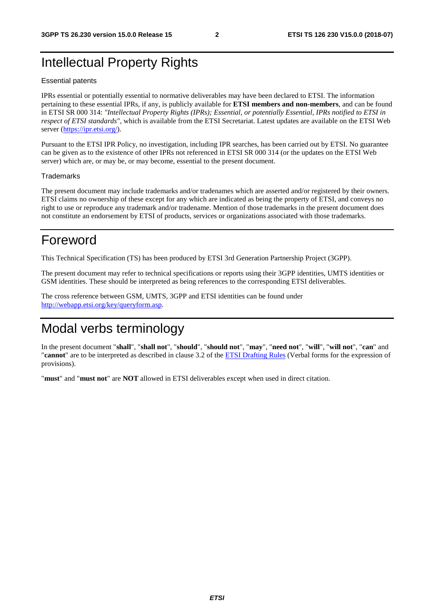### Intellectual Property Rights

#### Essential patents

IPRs essential or potentially essential to normative deliverables may have been declared to ETSI. The information pertaining to these essential IPRs, if any, is publicly available for **ETSI members and non-members**, and can be found in ETSI SR 000 314: *"Intellectual Property Rights (IPRs); Essential, or potentially Essential, IPRs notified to ETSI in respect of ETSI standards"*, which is available from the ETSI Secretariat. Latest updates are available on the ETSI Web server ([https://ipr.etsi.org/\)](https://ipr.etsi.org/).

Pursuant to the ETSI IPR Policy, no investigation, including IPR searches, has been carried out by ETSI. No guarantee can be given as to the existence of other IPRs not referenced in ETSI SR 000 314 (or the updates on the ETSI Web server) which are, or may be, or may become, essential to the present document.

#### **Trademarks**

The present document may include trademarks and/or tradenames which are asserted and/or registered by their owners. ETSI claims no ownership of these except for any which are indicated as being the property of ETSI, and conveys no right to use or reproduce any trademark and/or tradename. Mention of those trademarks in the present document does not constitute an endorsement by ETSI of products, services or organizations associated with those trademarks.

### Foreword

This Technical Specification (TS) has been produced by ETSI 3rd Generation Partnership Project (3GPP).

The present document may refer to technical specifications or reports using their 3GPP identities, UMTS identities or GSM identities. These should be interpreted as being references to the corresponding ETSI deliverables.

The cross reference between GSM, UMTS, 3GPP and ETSI identities can be found under [http://webapp.etsi.org/key/queryform.asp.](http://webapp.etsi.org/key/queryform.asp)

### Modal verbs terminology

In the present document "**shall**", "**shall not**", "**should**", "**should not**", "**may**", "**need not**", "**will**", "**will not**", "**can**" and "**cannot**" are to be interpreted as described in clause 3.2 of the [ETSI Drafting Rules](https://portal.etsi.org/Services/editHelp!/Howtostart/ETSIDraftingRules.aspx) (Verbal forms for the expression of provisions).

"**must**" and "**must not**" are **NOT** allowed in ETSI deliverables except when used in direct citation.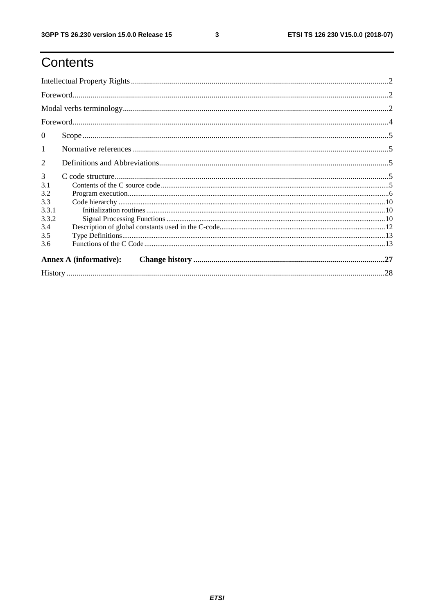## Contents

| $\mathbf{0}$ |                               |  |
|--------------|-------------------------------|--|
| $\mathbf{1}$ |                               |  |
| 2            |                               |  |
| 3            |                               |  |
| 3.1          |                               |  |
| 3.2          |                               |  |
| 3.3          |                               |  |
| 3.3.1        |                               |  |
| 3.3.2        |                               |  |
| 3.4          |                               |  |
| 3.5          |                               |  |
| 3.6          |                               |  |
|              | <b>Annex A (informative):</b> |  |
|              |                               |  |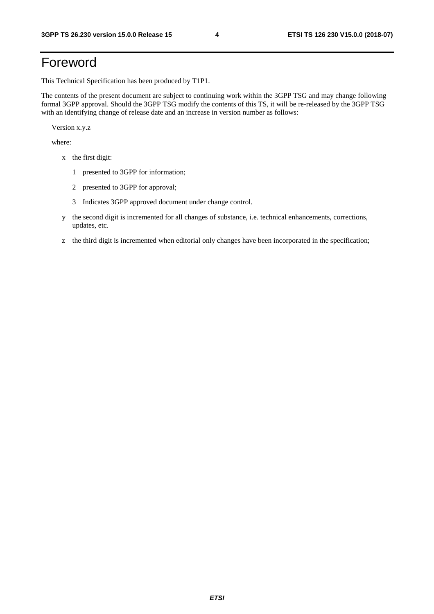### Foreword

This Technical Specification has been produced by T1P1.

The contents of the present document are subject to continuing work within the 3GPP TSG and may change following formal 3GPP approval. Should the 3GPP TSG modify the contents of this TS, it will be re-released by the 3GPP TSG with an identifying change of release date and an increase in version number as follows:

Version x.y.z

where:

- x the first digit:
	- 1 presented to 3GPP for information;
	- 2 presented to 3GPP for approval;
	- 3 Indicates 3GPP approved document under change control.
- y the second digit is incremented for all changes of substance, i.e. technical enhancements, corrections, updates, etc.
- z the third digit is incremented when editorial only changes have been incorporated in the specification;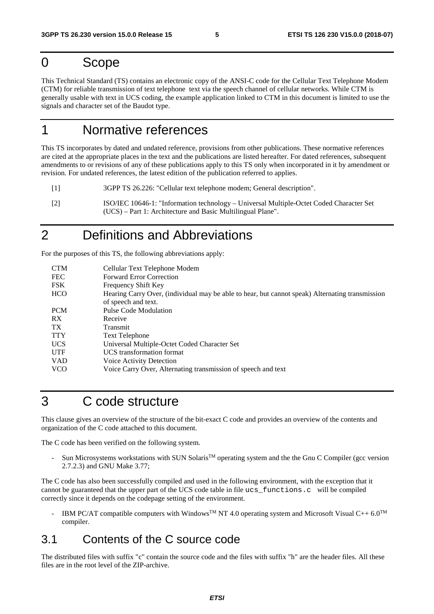#### 0 Scope

This Technical Standard (TS) contains an electronic copy of the ANSI-C code for the Cellular Text Telephone Modem (CTM) for reliable transmission of text telephone text via the speech channel of cellular networks. While CTM is generally usable with text in UCS coding, the example application linked to CTM in this document is limited to use the signals and character set of the Baudot type.

### 1 Normative references

This TS incorporates by dated and undated reference, provisions from other publications. These normative references are cited at the appropriate places in the text and the publications are listed hereafter. For dated references, subsequent amendments to or revisions of any of these publications apply to this TS only when incorporated in it by amendment or revision. For undated references, the latest edition of the publication referred to applies.

[1] 3GPP TS 26.226: "Cellular text telephone modem; General description".

[2] ISO/IEC 10646-1: "Information technology – Universal Multiple-Octet Coded Character Set (UCS) – Part 1: Architecture and Basic Multilingual Plane".

### 2 Definitions and Abbreviations

For the purposes of this TS, the following abbreviations apply:

| Cellular Text Telephone Modem                                                                   |
|-------------------------------------------------------------------------------------------------|
| <b>Forward Error Correction</b>                                                                 |
| <b>Frequency Shift Key</b>                                                                      |
| Hearing Carry Over, (individual may be able to hear, but cannot speak) Alternating transmission |
| of speech and text.                                                                             |
| Pulse Code Modulation                                                                           |
| Receive                                                                                         |
| Transmit                                                                                        |
| <b>Text Telephone</b>                                                                           |
| Universal Multiple-Octet Coded Character Set                                                    |
| UCS transformation format                                                                       |
| Voice Activity Detection                                                                        |
| Voice Carry Over, Alternating transmission of speech and text                                   |
|                                                                                                 |

#### 3 C code structure

This clause gives an overview of the structure of the bit-exact C code and provides an overview of the contents and organization of the C code attached to this document.

The C code has been verified on the following system.

Sun Microsystems workstations with SUN Solaris<sup>™</sup> operating system and the the Gnu C Compiler (gcc version 2.7.2.3) and GNU Make 3.77;

The C code has also been successfully compiled and used in the following environment, with the exception that it cannot be guaranteed that the upper part of the UCS code table in file ucs\_functions.c will be compiled correctly since it depends on the codepage setting of the environment.

IBM PC/AT compatible computers with Windows<sup>TM</sup> NT 4.0 operating system and Microsoft Visual C++ 6.0<sup>TM</sup> compiler.

#### 3.1 Contents of the C source code

The distributed files with suffix "c" contain the source code and the files with suffix "h" are the header files. All these files are in the root level of the ZIP-archive.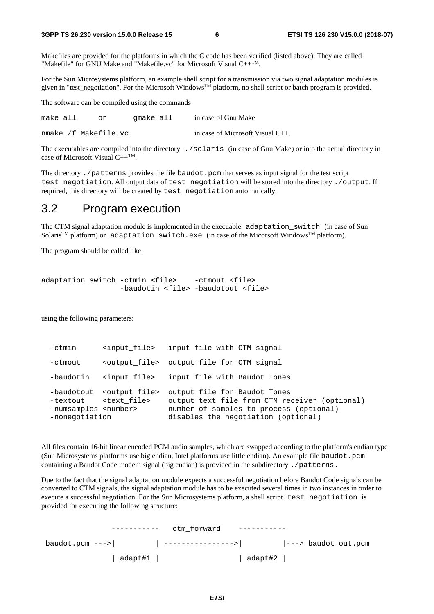Makefiles are provided for the platforms in which the C code has been verified (listed above). They are called "Makefile" for GNU Make and "Makefile.vc" for Microsoft Visual  $C++^{TM}$ .

For the Sun Microsystems platform, an example shell script for a transmission via two signal adaptation modules is given in "test negotiation". For the Microsoft Windows<sup>TM</sup> platform, no shell script or batch program is provided.

The software can be compiled using the commands

make all or gmake all in case of Gnu Make nmake /f Makefile.vc in case of Microsoft Visual C++.

The executables are compiled into the directory ./solaris (in case of Gnu Make) or into the actual directory in case of Microsoft Visual  $C++^{TM}$ .

The directory . /patterns provides the file baudot.pcm that serves as input signal for the test script test negotiation. All output data of test negotiation will be stored into the directory ./output. If required, this directory will be created by test negotiation automatically.

#### 3.2 Program execution

The CTM signal adaptation module is implemented in the execuable adaptation\_switch (in case of Sun Solaris<sup>TM</sup> platform) or adaptation\_switch.exe (in case of the Micorsoft Windows<sup>TM</sup> platform).

The program should be called like:

```
adaptation_switch -ctmin <file> -ctmout <file>
       -baudotin <file> -baudotout <file>
```
using the following parameters:

| $-$ c $t$ min                                    | <input file=""/>                                                        | input file with CTM signal                                                                                                                                      |
|--------------------------------------------------|-------------------------------------------------------------------------|-----------------------------------------------------------------------------------------------------------------------------------------------------------------|
| -ctmout                                          |                                                                         | <output file=""> output file for CTM signal</output>                                                                                                            |
| -baudotin                                        | <input file=""/>                                                        | input file with Baudot Tones                                                                                                                                    |
| -numsamples <number><br/>-nonegotiation</number> | -baudotout <output file=""><br/>-textout <text file=""></text></output> | output file for Baudot Tones<br>output text file from CTM receiver (optional)<br>number of samples to process (optional)<br>disables the negotiation (optional) |

All files contain 16-bit linear encoded PCM audio samples, which are swapped according to the platform's endian type (Sun Microsystems platforms use big endian, Intel platforms use little endian). An example file baudot.pcm containing a Baudot Code modem signal (big endian) is provided in the subdirectory ./patterns.

Due to the fact that the signal adaptation module expects a successful negotiation before Baudot Code signals can be converted to CTM signals, the signal adaptation module has to be executed several times in two instances in order to execute a successful negotiation. For the Sun Microsystems platform, a shell script test\_negotiation is provided for executing the following structure:

|                   | ctm forward |                                  |
|-------------------|-------------|----------------------------------|
| $baudot.pcm$ ---> |             | $\vert --\rangle$ baudot_out.pcm |
| adapt#1           |             | adapt#2                          |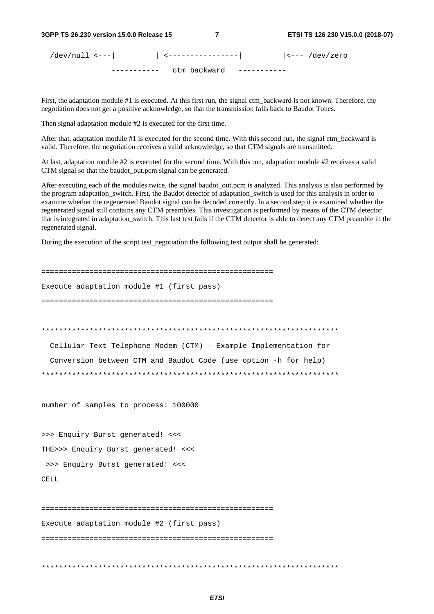/dev/null <---| | <----------------| |<--- /dev/zero ----------- ctm backward -----------

First, the adaptation module #1 is executed. At this first run, the signal ctm backward is not known. Therefore, the negotiation does not get a positive acknowledge, so that the transmission falls back to Baudot Tones.

Then signal adaptation module #2 is executed for the first time.

After that, adaptation module #1 is executed for the second time. With this second run, the signal ctm\_backward is valid. Therefore, the negotiation receives a valid acknowledge, so that CTM signals are transmitted.

At last, adaptation module #2 is executed for the second time. With this run, adaptation module #2 receives a valid CTM signal so that the baudot\_out.pcm signal can be generated.

After executing each of the modules twice, the signal baudot\_out.pcm is analyzed. This analysis is also performed by the program adaptation\_switch. First, the Baudot detector of adaptation\_switch is used for this analysis in order to examine whether the regenerated Baudot signal can be decoded correctly. In a second step it is examined whether the regenerated signal still contains any CTM preambles. This investigation is performed by means of the CTM detector that is integrated in adaptation\_switch. This last test fails if the CTM detector is able to detect any CTM preamble in the regenerated signal.

During the execution of the script test\_negotiation the following text output shall be generated:

===================================================== Execute adaptation module #1 (first pass) ===================================================== \*\*\*\*\*\*\*\*\*\*\*\*\*\*\*\*\*\*\*\*\*\*\*\*\*\*\*\*\*\*\*\*\*\*\*\*\*\*\*\*\*\*\*\*\*\*\*\*\*\*\*\*\*\*\*\*\*\*\*\*\*\*\*\*\*\*\*\* Cellular Text Telephone Modem (CTM) - Example Implementation for Conversion between CTM and Baudot Code (use option -h for help) \*\*\*\*\*\*\*\*\*\*\*\*\*\*\*\*\*\*\*\*\*\*\*\*\*\*\*\*\*\*\*\*\*\*\*\*\*\*\*\*\*\*\*\*\*\*\*\*\*\*\*\*\*\*\*\*\*\*\*\*\*\*\*\*\*\*\*\* number of samples to process: 100000 >>> Enquiry Burst generated! <<< THE>>> Enquiry Burst generated! <<< >>> Enquiry Burst generated! <<< CELL ===================================================== Execute adaptation module #2 (first pass) ===================================================== \*\*\*\*\*\*\*\*\*\*\*\*\*\*\*\*\*\*\*\*\*\*\*\*\*\*\*\*\*\*\*\*\*\*\*\*\*\*\*\*\*\*\*\*\*\*\*\*\*\*\*\*\*\*\*\*\*\*\*\*\*\*\*\*\*\*\*\*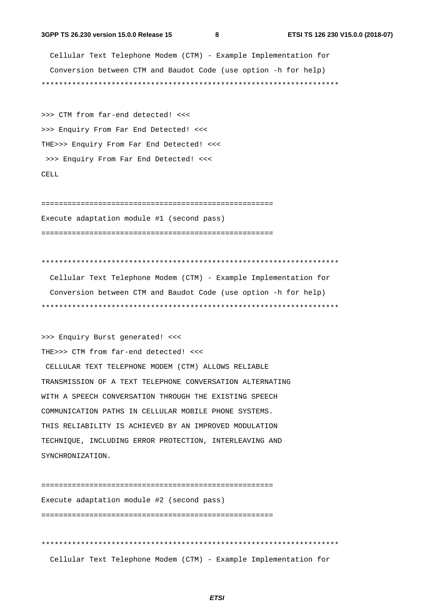#### **3GPP TS 26.230 version 15.0.0 Release 15 8 ETSI TS 126 230 V15.0.0 (2018-07)**

 Cellular Text Telephone Modem (CTM) - Example Implementation for Conversion between CTM and Baudot Code (use option -h for help) \*\*\*\*\*\*\*\*\*\*\*\*\*\*\*\*\*\*\*\*\*\*\*\*\*\*\*\*\*\*\*\*\*\*\*\*\*\*\*\*\*\*\*\*\*\*\*\*\*\*\*\*\*\*\*\*\*\*\*\*\*\*\*\*\*\*\*\*

>>> CTM from far-end detected! <<< >>> Enquiry From Far End Detected! <<< THE>>> Enquiry From Far End Detected! <<< >>> Enquiry From Far End Detected! <<< CELL

===================================================== Execute adaptation module #1 (second pass) =====================================================

\*\*\*\*\*\*\*\*\*\*\*\*\*\*\*\*\*\*\*\*\*\*\*\*\*\*\*\*\*\*\*\*\*\*\*\*\*\*\*\*\*\*\*\*\*\*\*\*\*\*\*\*\*\*\*\*\*\*\*\*\*\*\*\*\*\*\*\*

 Cellular Text Telephone Modem (CTM) - Example Implementation for Conversion between CTM and Baudot Code (use option -h for help) \*\*\*\*\*\*\*\*\*\*\*\*\*\*\*\*\*\*\*\*\*\*\*\*\*\*\*\*\*\*\*\*\*\*\*\*\*\*\*\*\*\*\*\*\*\*\*\*\*\*\*\*\*\*\*\*\*\*\*\*\*\*\*\*\*\*\*\*

>>> Enquiry Burst generated! <<< THE>>> CTM from far-end detected! <<<

 CELLULAR TEXT TELEPHONE MODEM (CTM) ALLOWS RELIABLE TRANSMISSION OF A TEXT TELEPHONE CONVERSATION ALTERNATING WITH A SPEECH CONVERSATION THROUGH THE EXISTING SPEECH COMMUNICATION PATHS IN CELLULAR MOBILE PHONE SYSTEMS. THIS RELIABILITY IS ACHIEVED BY AN IMPROVED MODULATION TECHNIQUE, INCLUDING ERROR PROTECTION, INTERLEAVING AND SYNCHRONIZATION.

===================================================== Execute adaptation module #2 (second pass) =====================================================

\*\*\*\*\*\*\*\*\*\*\*\*\*\*\*\*\*\*\*\*\*\*\*\*\*\*\*\*\*\*\*\*\*\*\*\*\*\*\*\*\*\*\*\*\*\*\*\*\*\*\*\*\*\*\*\*\*\*\*\*\*\*\*\*\*\*\*\* Cellular Text Telephone Modem (CTM) - Example Implementation for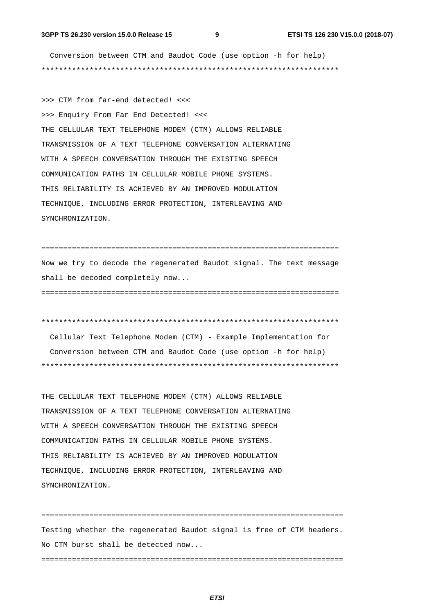Conversion between CTM and Baudot Code (use option -h for help) \*\*\*\*\*\*\*\*\*\*\*\*\*\*\*\*\*\*\*\*\*\*\*\*\*\*\*\*\*\*\*\*\*\*\*\*\*\*\*\*\*\*\*\*\*\*\*\*\*\*\*\*\*\*\*\*\*\*\*\*\*\*\*\*\*\*\*\*

>>> CTM from far-end detected! <<< >>> Enquiry From Far End Detected! <<< THE CELLULAR TEXT TELEPHONE MODEM (CTM) ALLOWS RELIABLE TRANSMISSION OF A TEXT TELEPHONE CONVERSATION ALTERNATING WITH A SPEECH CONVERSATION THROUGH THE EXISTING SPEECH COMMUNICATION PATHS IN CELLULAR MOBILE PHONE SYSTEMS. THIS RELIABILITY IS ACHIEVED BY AN IMPROVED MODULATION TECHNIQUE, INCLUDING ERROR PROTECTION, INTERLEAVING AND SYNCHRONIZATION.

==================================================================== Now we try to decode the regenerated Baudot signal. The text message shall be decoded completely now... ====================================================================

\*\*\*\*\*\*\*\*\*\*\*\*\*\*\*\*\*\*\*\*\*\*\*\*\*\*\*\*\*\*\*\*\*\*\*\*\*\*\*\*\*\*\*\*\*\*\*\*\*\*\*\*\*\*\*\*\*\*\*\*\*\*\*\*\*\*\*\*

 Cellular Text Telephone Modem (CTM) - Example Implementation for Conversion between CTM and Baudot Code (use option -h for help) \*\*\*\*\*\*\*\*\*\*\*\*\*\*\*\*\*\*\*\*\*\*\*\*\*\*\*\*\*\*\*\*\*\*\*\*\*\*\*\*\*\*\*\*\*\*\*\*\*\*\*\*\*\*\*\*\*\*\*\*\*\*\*\*\*\*\*\*

THE CELLULAR TEXT TELEPHONE MODEM (CTM) ALLOWS RELIABLE TRANSMISSION OF A TEXT TELEPHONE CONVERSATION ALTERNATING WITH A SPEECH CONVERSATION THROUGH THE EXISTING SPEECH COMMUNICATION PATHS IN CELLULAR MOBILE PHONE SYSTEMS. THIS RELIABILITY IS ACHIEVED BY AN IMPROVED MODULATION TECHNIQUE, INCLUDING ERROR PROTECTION, INTERLEAVING AND SYNCHRONIZATION.

===================================================================== Testing whether the regenerated Baudot signal is free of CTM headers. No CTM burst shall be detected now... =====================================================================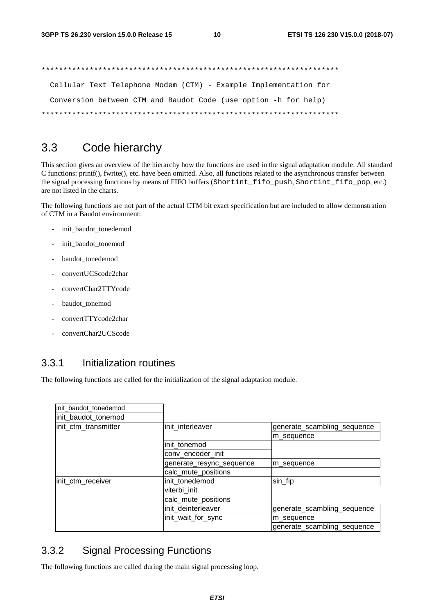\*\*\*\*\*\*\*\*\*\*\*\*\*\*\*\*\*\*\*\*\*\*\*\*\*\*\*\*\*\*\*\*\*\*\*\*\*\*\*\*\*\*\*\*\*\*\*\*\*\*\*\*\*\*\*\*\*\*\*\*\*\*\*\*\*\*\*\* Cellular Text Telephone Modem (CTM) - Example Implementation for Conversion between CTM and Baudot Code (use option -h for help) \*\*\*\*\*\*\*\*\*\*\*\*\*\*\*\*\*\*\*\*\*\*\*\*\*\*\*\*\*\*\*\*\*\*\*\*\*\*\*\*\*\*\*\*\*\*\*\*\*\*\*\*\*\*\*\*\*\*\*\*\*\*\*\*\*\*\*\*

#### 3.3 Code hierarchy

This section gives an overview of the hierarchy how the functions are used in the signal adaptation module. All standard C functions: printf(), fwrite(), etc. have been omitted. Also, all functions related to the asynchronous transfer between the signal processing functions by means of FIFO buffers (Shortint fifo push, Shortint fifo pop, etc.) are not listed in the charts.

The following functions are not part of the actual CTM bit exact specification but are included to allow demonstration of CTM in a Baudot environment:

- init\_baudot\_tonedemod
- init\_baudot\_tonemod
- baudot\_tonedemod
- convertUCScode2char
- convertChar2TTYcode
- baudot\_tonemod
- convertTTYcode2char
- convertChar2UCScode

#### 3.3.1 Initialization routines

The following functions are called for the initialization of the signal adaptation module.

| init_baudot_tonedemod |                          |                             |
|-----------------------|--------------------------|-----------------------------|
| init_baudot_tonemod   |                          |                             |
| init_ctm_transmitter  | init_interleaver         | generate_scambling_sequence |
|                       |                          | m sequence                  |
|                       | init_tonemod             |                             |
|                       | conv_encoder_init        |                             |
|                       | generate_resync_sequence | m sequence                  |
|                       | calc_mute_positions      |                             |
| init_ctm_receiver     | init tonedemod           | sin_fip                     |
|                       | viterbi init             |                             |
|                       | calc_mute_positions      |                             |
|                       | init_deinterleaver       | generate_scambling_sequence |
|                       | init_wait_for_sync       | m sequence                  |
|                       |                          | generate_scambling_sequence |

#### 3.3.2 Signal Processing Functions

The following functions are called during the main signal processing loop.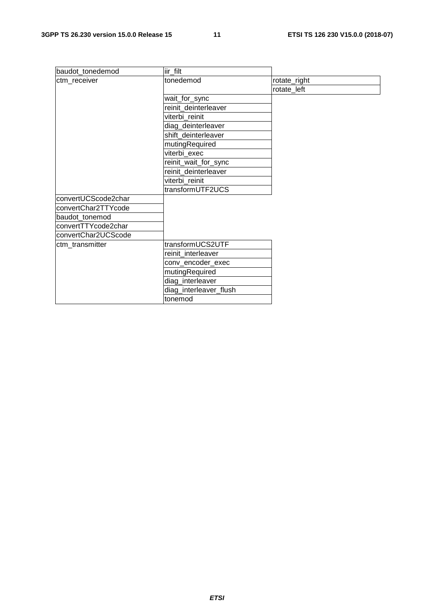| baudot_tonedemod    | liir_filt              |              |
|---------------------|------------------------|--------------|
| ctm_receiver        | tonedemod              | rotate_right |
|                     |                        | rotate_left  |
|                     | wait_for_sync          |              |
|                     | reinit_deinterleaver   |              |
|                     | viterbi reinit         |              |
|                     | diag_deinterleaver     |              |
|                     | shift_deinterleaver    |              |
|                     | mutingRequired         |              |
|                     | viterbi exec           |              |
|                     | reinit_wait_for_sync   |              |
|                     | reinit deinterleaver   |              |
|                     | viterbi_reinit         |              |
|                     | transformUTF2UCS       |              |
| convertUCScode2char |                        |              |
| convertChar2TTYcode |                        |              |
| baudot_tonemod      |                        |              |
| convertTTYcode2char |                        |              |
| convertChar2UCScode |                        |              |
| ctm_transmitter     | transformUCS2UTF       |              |
|                     | reinit interleaver     |              |
|                     | conv_encoder_exec      |              |
|                     | mutingRequired         |              |
|                     | diag_interleaver       |              |
|                     | diag_interleaver_flush |              |
|                     | tonemod                |              |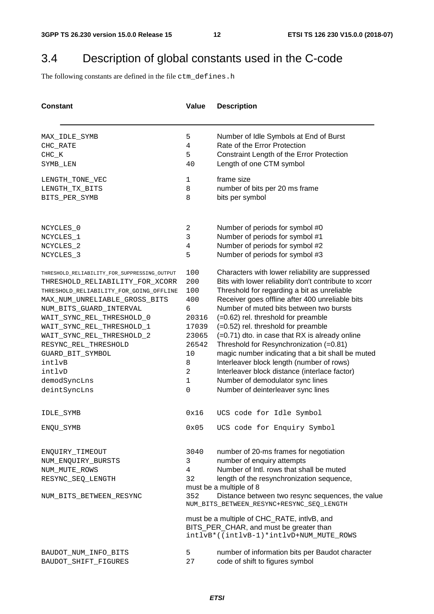### 3.4 Description of global constants used in the C-code

The following constants are defined in the file ctm\_defines.h

| <b>Constant</b>                              | Value  | <b>Description</b>                                                                            |
|----------------------------------------------|--------|-----------------------------------------------------------------------------------------------|
| MAX_IDLE_SYMB                                | 5      | Number of Idle Symbols at End of Burst                                                        |
| CHC_RATE                                     | 4      | Rate of the Error Protection                                                                  |
| $CHC_K$                                      | 5      | Constraint Length of the Error Protection                                                     |
| SYMB_LEN                                     | 40     | Length of one CTM symbol                                                                      |
| LENGTH_TONE_VEC                              | 1      | frame size                                                                                    |
| LENGTH_TX_BITS                               | 8      | number of bits per 20 ms frame                                                                |
| BITS_PER_SYMB                                | 8      | bits per symbol                                                                               |
| NCYCLES_0                                    | 2      | Number of periods for symbol #0                                                               |
| NCYCLES_1                                    | 3      | Number of periods for symbol #1                                                               |
| NCYCLES_2                                    | 4      | Number of periods for symbol #2                                                               |
| NCYCLES_3                                    | 5      | Number of periods for symbol #3                                                               |
| THRESHOLD_RELIABILITY_FOR_SUPPRESSING_OUTPUT | 100    | Characters with lower reliability are suppressed                                              |
| THRESHOLD_RELIABILITY_FOR_XCORR              | 200    | Bits with lower reliability don't contribute to xcorr                                         |
| THRESHOLD_RELIABILITY_FOR_GOING_OFFLINE      | 100    | Threshold for regarding a bit as unreliable                                                   |
| MAX_NUM_UNRELIABLE_GROSS_BITS                | 400    | Receiver goes offline after 400 unreliable bits                                               |
| NUM_BITS_GUARD_INTERVAL                      | 6      | Number of muted bits between two bursts                                                       |
| WAIT_SYNC_REL_THRESHOLD_0                    | 20316  | (=0.62) rel. threshold for preamble                                                           |
| WAIT_SYNC_REL_THRESHOLD_1                    | 17039  | (=0.52) rel. threshold for preamble                                                           |
| WAIT_SYNC_REL_THRESHOLD_2                    | 23065  | (=0.71) dto. in case that RX is already online                                                |
| RESYNC_REL_THRESHOLD                         | 26542  | Threshold for Resynchronization (=0.81)                                                       |
| GUARD_BIT_SYMBOL                             | 10     | magic number indicating that a bit shall be muted                                             |
| intlvB                                       | 8      | Interleaver block length (number of rows)                                                     |
| intlvD                                       | 2<br>1 | Interleaver block distance (interlace factor)<br>Number of demodulator sync lines             |
| demodSyncLns                                 | 0      |                                                                                               |
| deintSyncLns                                 |        | Number of deinterleaver sync lines                                                            |
| IDLE_SYMB                                    | 0x16   | UCS code for Idle Symbol                                                                      |
| ENQU_SYMB                                    | 0x05   | UCS code for Enquiry Symbol                                                                   |
| ENQUIRY TIMEOUT                              | 3040   | number of 20-ms frames for negotiation                                                        |
| NUM_ENQUIRY_BURSTS                           | 3      | number of enquiry attempts                                                                    |
| NUM_MUTE_ROWS                                | 4      | Number of Intl. rows that shall be muted                                                      |
| RESYNC_SEQ_LENGTH                            | 32     | length of the resynchronization sequence,                                                     |
|                                              |        | must be a multiple of 8                                                                       |
| NUM_BITS_BETWEEN_RESYNC                      | 352    | Distance between two resync sequences, the value<br>NUM_BITS_BETWEEN_RESYNC+RESYNC_SEQ_LENGTH |
|                                              |        | must be a multiple of CHC_RATE, intlvB, and                                                   |
|                                              |        | BITS_PER_CHAR, and must be greater than                                                       |
|                                              |        | intlvB*((intlvB-1)*intlvD+NUM_MUTE_ROWS                                                       |
| BAUDOT_NUM_INFO_BITS                         | 5      | number of information bits per Baudot character                                               |
| BAUDOT_SHIFT_FIGURES                         | 27     | code of shift to figures symbol                                                               |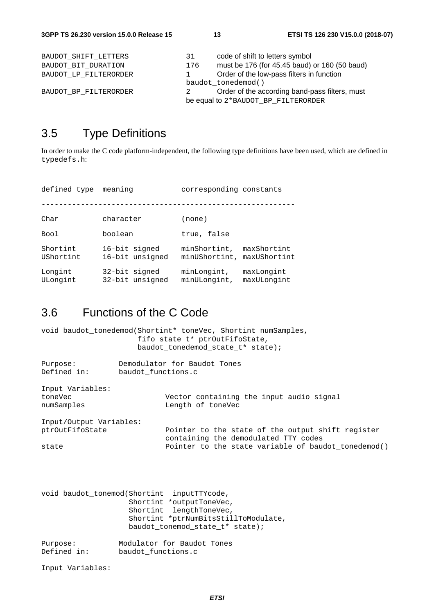### 3.5 Type Definitions

In order to make the C code platform-independent, the following type definitions have been used, which are defined in typedefs.h:

| defined type          | meaning                          | corresponding constants                                   |  |
|-----------------------|----------------------------------|-----------------------------------------------------------|--|
|                       |                                  |                                                           |  |
| Char                  | character                        | (none)                                                    |  |
| Bool                  | boolean                          | true, false                                               |  |
| Shortint<br>UShortint | 16-bit signed<br>16-bit unsigned | minShortint,<br>maxShortint<br>minUShortint, maxUShortint |  |
| Longint<br>ULongint   | 32-bit signed<br>32-bit unsigned | minLongint,<br>maxLongint<br>minULongint,<br>maxULongint  |  |

### 3.6 Functions of the C Code

|                                   | void baudot_tonedemod(Shortint* toneVec, Shortint numSamples,<br>fifo state t* ptrOutFifoState,<br>baudot tonedemod state t* state); |
|-----------------------------------|--------------------------------------------------------------------------------------------------------------------------------------|
| Purpose:                          | Demodulator for Baudot Tones                                                                                                         |
| Defined in:<br>baudot functions.c |                                                                                                                                      |
| Input Variables:                  |                                                                                                                                      |
| toneVec                           | Vector containing the input audio signal                                                                                             |
| numSamples                        | Length of toneVec                                                                                                                    |
| Input/Output Variables:           |                                                                                                                                      |
| ptrOutFifoState                   | Pointer to the state of the output shift register<br>containing the demodulated TTY codes                                            |
| state                             | Pointer to the state variable of baudot tonedemod()                                                                                  |

void baudot tonemod(Shortint inputTTYcode, Shortint \*outputToneVec, Shortint lengthToneVec, Shortint \*ptrNumBitsStillToModulate, baudot\_tonemod\_state\_t\* state); Purpose: Modulator for Baudot Tones Defined in: baudot\_functions.c

Input Variables: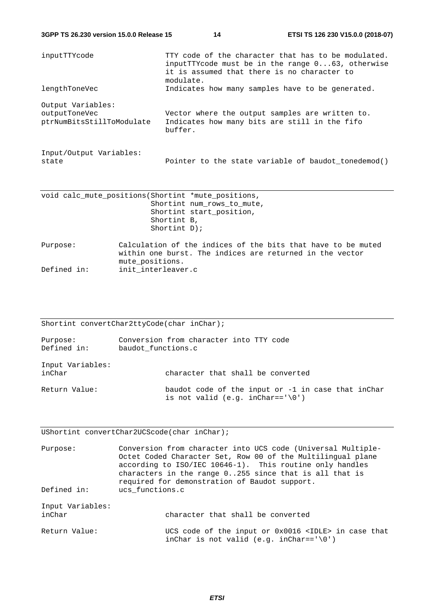**3GPP TS 26.230 version 15.0.0 Release 15 14 ETSI TS 126 230 V15.0.0 (2018-07)**

| inputTTYcode                                                    | TTY code of the character that has to be modulated.<br>inputTTYcode must be in the range 063, otherwise<br>it is assumed that there is no character to<br>modulate. |
|-----------------------------------------------------------------|---------------------------------------------------------------------------------------------------------------------------------------------------------------------|
| lengthToneVec                                                   | Indicates how many samples have to be generated.                                                                                                                    |
| Output Variables:<br>outputToneVec<br>ptrNumBitsStillToModulate | Vector where the output samples are written to.<br>Indicates how many bits are still in the fifo<br>buffer.                                                         |
| Input/Output Variables:<br>state                                | Pointer to the state variable of baudot tonedemod()                                                                                                                 |

|             | void calc_mute_positions(Shortint *mute_positions,                                                                                          |
|-------------|---------------------------------------------------------------------------------------------------------------------------------------------|
|             | Shortint num rows to mute,                                                                                                                  |
|             | Shortint start position,                                                                                                                    |
|             | Shortint B,                                                                                                                                 |
|             | Shortint $D$ );                                                                                                                             |
| Purpose:    | Calculation of the indices of the bits that have to be muted<br>within one burst. The indices are returned in the vector<br>mute positions. |
| Defined in: | init interleaver.c                                                                                                                          |

Shortint convertChar2ttyCode(char inChar);

| Purpose:<br>Defined in:    | Conversion from character into TTY code<br>baudot functions.c                                          |
|----------------------------|--------------------------------------------------------------------------------------------------------|
| Input Variables:<br>inChar | character that shall be converted                                                                      |
| Return Value:              | baudot code of the input or -1 in case that inChar<br>is not valid (e.g. inChar== $\lceil \0 \rceil$ ) |

UShortint convertChar2UCScode(char inChar);

| Purpose:                   | Conversion from character into UCS code (Universal Multiple-<br>Octet Coded Character Set, Row 00 of the Multilingual plane<br>according to ISO/IEC 10646-1). This routine only handles<br>characters in the range $0.255$ since that is all that is<br>required for demonstration of Baudot support. |
|----------------------------|-------------------------------------------------------------------------------------------------------------------------------------------------------------------------------------------------------------------------------------------------------------------------------------------------------|
| Defined in:                | ucs_functions.c                                                                                                                                                                                                                                                                                       |
| Input Variables:<br>inChar | character that shall be converted                                                                                                                                                                                                                                                                     |
| Return Value:              | UCS code of the input or $0x0016$ <idle> in case that<br/>inChar is not valid (e.g. inChar==<math>\sqrt{0}</math>)</idle>                                                                                                                                                                             |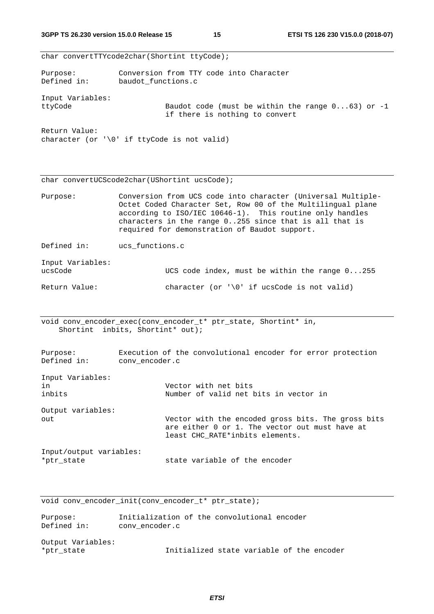|                             | char convertTTYcode2char(Shortint ttyCode);                                                                                                                                                                                                                                                        |  |
|-----------------------------|----------------------------------------------------------------------------------------------------------------------------------------------------------------------------------------------------------------------------------------------------------------------------------------------------|--|
| Purpose:<br>Defined in:     | Conversion from TTY code into Character<br>baudot_functions.c                                                                                                                                                                                                                                      |  |
| Input Variables:<br>ttyCode | Baudot code (must be within the range $063$ ) or -1<br>if there is nothing to convert                                                                                                                                                                                                              |  |
| Return Value:               | character (or $\sqrt{0}$ if ttyCode is not valid)                                                                                                                                                                                                                                                  |  |
|                             | char convertUCScode2char(UShortint ucsCode);                                                                                                                                                                                                                                                       |  |
| Purpose:                    | Conversion from UCS code into character (Universal Multiple-<br>Octet Coded Character Set, Row 00 of the Multilingual plane<br>according to ISO/IEC 10646-1). This routine only handles<br>characters in the range 0255 since that is all that is<br>required for demonstration of Baudot support. |  |
| Defined in:                 | ucs functions.c                                                                                                                                                                                                                                                                                    |  |
| Input Variables:<br>ucsCode | UCS code index, must be within the range 0255                                                                                                                                                                                                                                                      |  |
| Return Value:               | character (or $\sqrt{0}$ if ucsCode is not valid)                                                                                                                                                                                                                                                  |  |

void conv\_encoder\_exec(conv\_encoder\_t\* ptr\_state, Shortint\* in, Shortint inbits, Shortint\* out);

| Purpose:<br>Defined in:               | Execution of the convolutional encoder for error protection<br>conv encoder.c                                                           |
|---------------------------------------|-----------------------------------------------------------------------------------------------------------------------------------------|
| Input Variables:<br>in<br>inbits      | Vector with net bits<br>Number of valid net bits in vector in                                                                           |
| Output variables:<br>out              | Vector with the encoded gross bits. The gross bits<br>are either 0 or 1. The vector out must have at<br>least CHC_RATE*inbits elements. |
| Input/output variables:<br>*ptr state | state variable of the encoder                                                                                                           |

void conv\_encoder\_init(conv\_encoder\_t\* ptr\_state);

| Purpose:          | Initialization of the convolutional encoder |
|-------------------|---------------------------------------------|
| Defined in:       | conv encoder.c                              |
| Output Variables: |                                             |
| *ptr state        | Initialized state variable of the encoder   |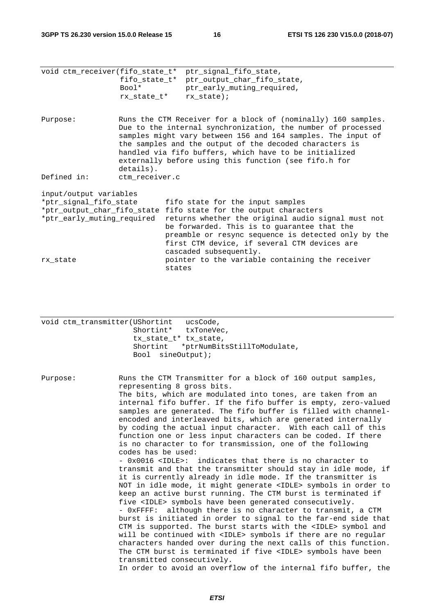**3GPP TS 26.230 version 15.0.0 Release 15 16 ETSI TS 126 230 V15.0.0 (2018-07)**

|                            | Bool*          | void ctm receiver(fifo state t* ptr signal fifo state,<br>fifo_state_t* ptr_output_char_fifo_state,<br>ptr early muting required,<br>$rx\_state_t*$ $rx\_state);$                                                                                                                                                                                                           |
|----------------------------|----------------|-----------------------------------------------------------------------------------------------------------------------------------------------------------------------------------------------------------------------------------------------------------------------------------------------------------------------------------------------------------------------------|
| Purpose:                   | details).      | Runs the CTM Receiver for a block of (nominally) 160 samples.<br>Due to the internal synchronization, the number of processed<br>samples might vary between 156 and 164 samples. The input of<br>the samples and the output of the decoded characters is<br>handled via fifo buffers, which have to be initialized<br>externally before using this function (see fifo.h for |
| Defined in:                | ctm receiver.c |                                                                                                                                                                                                                                                                                                                                                                             |
| input/output variables     |                |                                                                                                                                                                                                                                                                                                                                                                             |
| *ptr_signal_fifo_state     |                | fifo state for the input samples                                                                                                                                                                                                                                                                                                                                            |
|                            |                | *ptr_output_char_fifo_state fifo state for the output characters                                                                                                                                                                                                                                                                                                            |
| *ptr_early_muting_required |                | returns whether the original audio signal must not<br>be forwarded. This is to quarantee that the<br>preamble or resync sequence is detected only by the<br>first CTM device, if several CTM devices are<br>cascaded subsequently.                                                                                                                                          |
| rx state                   |                | pointer to the variable containing the receiver<br>states                                                                                                                                                                                                                                                                                                                   |

|          | void ctm transmitter(UShortint<br>ucsCode,<br>Shortint* txToneVec,<br>tx state t* tx state,<br>Shortint *ptrNumBitsStillToModulate,<br>Bool sineOutput);                                                                                                                                                                                                                                                                                                                                                                                                                                                                                                                                                              |
|----------|-----------------------------------------------------------------------------------------------------------------------------------------------------------------------------------------------------------------------------------------------------------------------------------------------------------------------------------------------------------------------------------------------------------------------------------------------------------------------------------------------------------------------------------------------------------------------------------------------------------------------------------------------------------------------------------------------------------------------|
| Purpose: | Runs the CTM Transmitter for a block of 160 output samples,<br>representing 8 gross bits.<br>The bits, which are modulated into tones, are taken from an<br>internal fifo buffer. If the fifo buffer is empty, zero-valued<br>samples are generated. The fifo buffer is filled with channel-<br>encoded and interleaved bits, which are generated internally<br>by coding the actual input character. With each call of this<br>function one or less input characters can be coded. If there<br>is no character to for transmission, one of the following<br>codes has be used:<br>- 0x0016 <idle>: indicates that there is no character to<br/>transmit and that the transmitter should stay in idle mode, if</idle> |
|          | it is currently already in idle mode. If the transmitter is<br>NOT in idle mode, it might generate <idle> symbols in order to</idle>                                                                                                                                                                                                                                                                                                                                                                                                                                                                                                                                                                                  |

five <IDLE> symbols have been generated consecutively. - 0xFFFF: although there is no character to transmit, a CTM burst is initiated in order to signal to the far-end side that CTM is supported. The burst starts with the <IDLE> symbol and will be continued with <IDLE> symbols if there are no regular characters handed over during the next calls of this function. The CTM burst is terminated if five <IDLE> symbols have been transmitted consecutively.

keep an active burst running. The CTM burst is terminated if

In order to avoid an overflow of the internal fifo buffer, the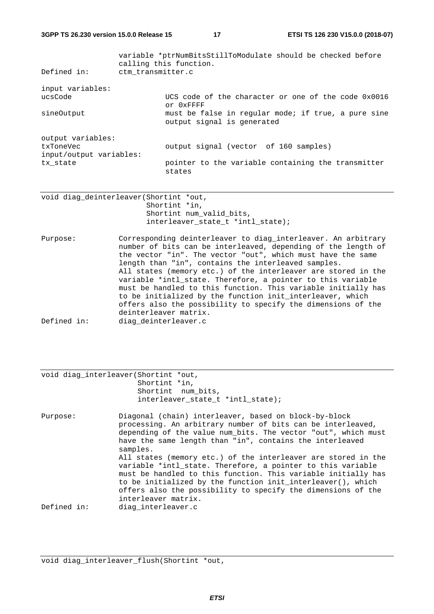| Defined in:                                               | ctm_transmitter.c | variable *ptrNumBitsStillToModulate should be checked before<br>calling this function. |
|-----------------------------------------------------------|-------------------|----------------------------------------------------------------------------------------|
| input variables:<br>ucsCode                               |                   | UCS code of the character or one of the code $0x0016$<br>Or OXFFFF                     |
| sineOutput                                                |                   | must be false in reqular mode; if true, a pure sine<br>output signal is generated      |
| output variables:<br>txToneVec<br>input/output variables: |                   | output signal (vector of 160 samples)                                                  |
| tx state                                                  |                   | pointer to the variable containing the transmitter<br>states                           |

void diag\_deinterleaver(Shortint \*out, Shortint \*in, Shortint num\_valid\_bits, interleaver\_state\_t \*intl\_state);

Purpose: Corresponding deinterleaver to diag\_interleaver. An arbitrary number of bits can be interleaved, depending of the length of the vector "in". The vector "out", which must have the same length than "in", contains the interleaved samples. All states (memory etc.) of the interleaver are stored in the variable \*intl\_state. Therefore, a pointer to this variable must be handled to this function. This variable initially has to be initialized by the function init\_interleaver, which offers also the possibility to specify the dimensions of the deinterleaver matrix. Defined in: diag\_deinterleaver.c

|             | void diag interleaver (Shortint *out,<br>Shortint *in,<br>Shortint num_bits,<br>interleaver state t *intl state);                                                                                                                                                                                                                                                                                                                                              |
|-------------|----------------------------------------------------------------------------------------------------------------------------------------------------------------------------------------------------------------------------------------------------------------------------------------------------------------------------------------------------------------------------------------------------------------------------------------------------------------|
| Purpose:    | Diagonal (chain) interleaver, based on block-by-block<br>processing. An arbitrary number of bits can be interleaved,<br>depending of the value num bits. The vector "out", which must<br>have the same length than "in", contains the interleaved<br>samples.<br>All states (memory etc.) of the interleaver are stored in the<br>variable *intl state. Therefore, a pointer to this variable<br>must be handled to this function. This variable initially has |
| Defined in: | to be initialized by the function init interleaver(), which<br>offers also the possibility to specify the dimensions of the<br>interleaver matrix.<br>diag interleaver.c                                                                                                                                                                                                                                                                                       |

void diag\_interleaver\_flush(Shortint \*out,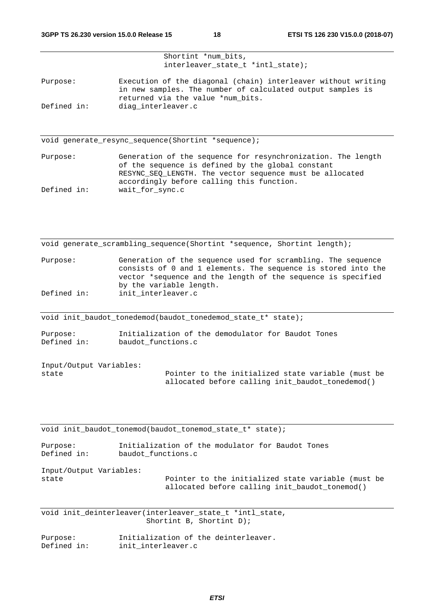|             | Shortint *num bits,<br>interleaver state $t$ *intl state);                                                                                                       |
|-------------|------------------------------------------------------------------------------------------------------------------------------------------------------------------|
| Purpose:    | Execution of the diagonal (chain) interleaver without writing<br>in new samples. The number of calculated output samples is<br>returned via the value *num bits. |
| Defined in: | diag interleaver.c                                                                                                                                               |
|             |                                                                                                                                                                  |
|             | void generate resync sequence (Shortint *sequence);                                                                                                              |
| Purpose:    | Generation of the sequence for resynchronization. The length                                                                                                     |

of the sequence is defined by the global constant RESYNC SEQ LENGTH. The vector sequence must be allocated accordingly before calling this function. Defined in: wait\_for\_sync.c

|          | void generate_scrambling_sequence(Shortint *sequence, Shortint length);                                                                                                                                                  |
|----------|--------------------------------------------------------------------------------------------------------------------------------------------------------------------------------------------------------------------------|
| Purpose: | Generation of the sequence used for scrambling. The sequence<br>consists of 0 and 1 elements. The sequence is stored into the<br>vector *sequence and the length of the sequence is specified<br>by the variable length. |

Defined in: init\_interleaver.c

void init\_baudot\_tonedemod(baudot\_tonedemod\_state\_t\* state);

Purpose: Initialization of the demodulator for Baudot Tones<br>Defined in: baudot functions.c baudot functions.c

| Input/Output Variables: |                                                    |
|-------------------------|----------------------------------------------------|
| state                   | Pointer to the initialized state variable (must be |
|                         | allocated before calling init baudot tonedemod()   |

void init\_baudot\_tonemod(baudot\_tonemod\_state\_t\* state);

Purpose: Initialization of the modulator for Baudot Tones Defined in: baudot\_functions.c

Input/Output Variables:

state extending Pointer to the initialized state variable (must be allocated before calling init\_baudot\_tonemod()

void init\_deinterleaver(interleaver\_state\_t \*intl\_state, Shortint B, Shortint D);

| Purpose:    | Initialization of the deinterleaver. |
|-------------|--------------------------------------|
| Defined in: | init interleaver.c                   |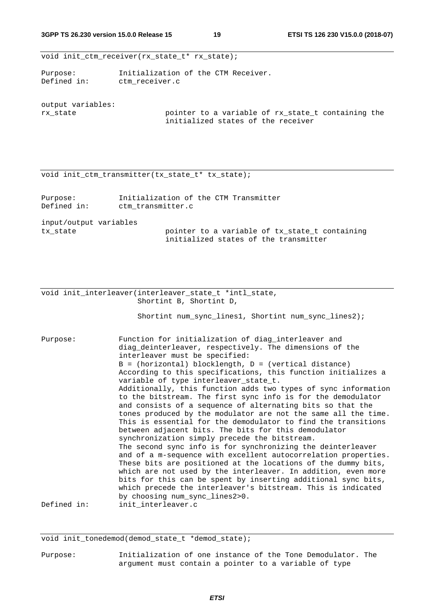void init\_ctm\_receiver(rx\_state\_t\* rx\_state);

Purpose: Initialization of the CTM Receiver. Defined in: ctm\_receiver.c

output variables:

rx\_state pointer to a variable of rx\_state\_t containing the initialized states of the receiver

void init\_ctm\_transmitter(tx\_state\_t\* tx\_state);

| Purpose:<br>Defined in: | Initialization of the CTM Transmitter<br>ctm transmitter.c                              |
|-------------------------|-----------------------------------------------------------------------------------------|
| input/output variables  |                                                                                         |
| tx state                | pointer to a variable of tx state t containing<br>initialized states of the transmitter |

void init\_interleaver(interleaver\_state\_t \*intl\_state, Shortint B, Shortint D,

Shortint num\_sync\_lines1, Shortint num\_sync\_lines2);

Purpose: Function for initialization of diag\_interleaver and diag\_deinterleaver, respectively. The dimensions of the interleaver must be specified:  $B = (horizontal) blocklength, D = (vertical distance)$ According to this specifications, this function initializes a variable of type interleaver state t. Additionally, this function adds two types of sync information to the bitstream. The first sync info is for the demodulator and consists of a sequence of alternating bits so that the tones produced by the modulator are not the same all the time. This is essential for the demodulator to find the transitions between adjacent bits. The bits for this demodulator synchronization simply precede the bitstream. The second sync info is for synchronizing the deinterleaver and of a m-sequence with excellent autocorrelation properties. These bits are positioned at the locations of the dummy bits, which are not used by the interleaver. In addition, even more bits for this can be spent by inserting additional sync bits, which precede the interleaver's bitstream. This is indicated by choosing num\_sync\_lines2>0. Defined in: init\_interleaver.c

void init tonedemod(demod state t \*demod state);

Purpose: Initialization of one instance of the Tone Demodulator. The argument must contain a pointer to a variable of type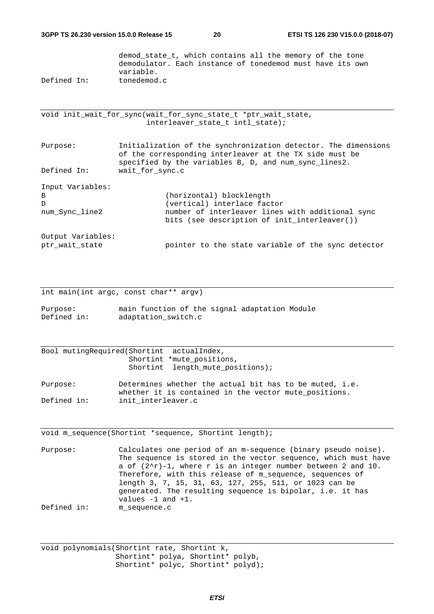demod\_state\_t, which contains all the memory of the tone demodulator. Each instance of tonedemod must have its own variable. Defined In: tonedemod.c

void init\_wait\_for\_sync(wait\_for\_sync\_state\_t \*ptr\_wait\_state, interleaver\_state\_t intl\_state);

Purpose: Initialization of the synchronization detector. The dimensions of the corresponding interleaver at the TX side must be specified by the variables B, D, and num\_sync\_lines2. Defined In: wait\_for\_sync.c Input Variables: B (horizontal) blocklength D (vertical) interlace factor num Sync line2 11 number of interleaver lines with additional sync bits (see description of init\_interleaver())

Output Variables: ptr\_wait\_state pointer to the state variable of the sync detector

int main(int argc, const char\*\* argv)

Purpose: main function of the signal adaptation Module Defined in: adaptation switch.c

Bool mutingRequired(Shortint actualIndex, Shortint \*mute\_positions, Shortint length\_mute\_positions);

Purpose: Determines whether the actual bit has to be muted, i.e. whether it is contained in the vector mute\_positions. Defined in: init interleaver.c

void m\_sequence(Shortint \*sequence, Shortint length);

Purpose: Calculates one period of an m-sequence (binary pseudo noise). The sequence is stored in the vector sequence, which must have a of  $(2^r-1)$ , where r is an integer number between 2 and 10. Therefore, with this release of m\_sequence, sequences of length 3, 7, 15, 31, 63, 127, 255, 511, or 1023 can be generated. The resulting sequence is bipolar, i.e. it has values -1 and +1. Defined in: m\_sequence.c

void polynomials(Shortint rate, Shortint k, Shortint\* polya, Shortint\* polyb, Shortint\* polyc, Shortint\* polyd);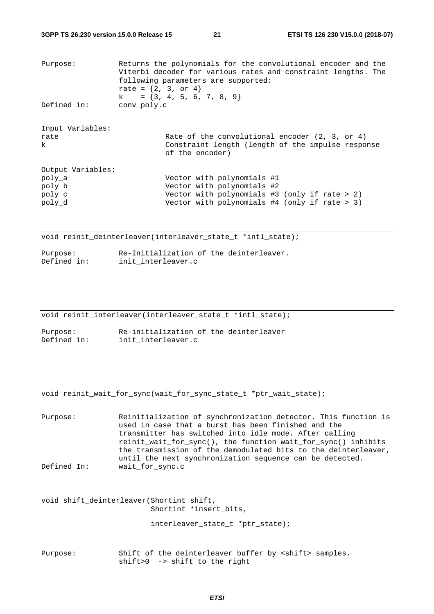| Purpose:                                                  | rate = $\{2, 3, or 4\}$ | Returns the polynomials for the convolutional encoder and the<br>Viterbi decoder for various rates and constraint lengths. The<br>following parameters are supported:<br>$k = \{3, 4, 5, 6, 7, 8, 9\}$ |
|-----------------------------------------------------------|-------------------------|--------------------------------------------------------------------------------------------------------------------------------------------------------------------------------------------------------|
| Defined in:                                               | conv poly.c             |                                                                                                                                                                                                        |
| Input Variables:<br>rate<br>k                             |                         | Rate of the convolutional encoder $(2, 3, or 4)$<br>Constraint length (length of the impulse response<br>of the encoder)                                                                               |
| Output Variables:<br>poly a<br>poly b<br>poly c<br>poly d |                         | Vector with polynomials #1<br>Vector with polynomials #2<br>Vector with polynomials $#3$ (only if rate $> 2$ )<br>Vector with polynomials $#4$ (only if rate > 3)                                      |

void reinit deinterleaver(interleaver state t \*intl state);

| Purpose:    | Re-Initialization of the deinterleaver. |  |
|-------------|-----------------------------------------|--|
| Defined in: | init interleaver.c                      |  |

void reinit\_interleaver(interleaver\_state\_t \*intl\_state);

Purpose: Re-initialization of the deinterleaver Defined in: init\_interleaver.c

void reinit\_wait\_for\_sync(wait\_for\_sync\_state\_t \*ptr\_wait\_state);

| Purpose:    | Reinitialization of synchronization detector. This function is |
|-------------|----------------------------------------------------------------|
|             | used in case that a burst has been finished and the            |
|             | transmitter has switched into idle mode. After calling         |
|             | reinit_wait_for_sync(), the function wait_for_sync() inhibits  |
|             | the transmission of the demodulated bits to the deinterleaver, |
|             | until the next synchronization sequence can be detected.       |
| Defined In: | wait for sync.c                                                |

void shift\_deinterleaver(Shortint shift, Shortint \*insert\_bits,

interleaver state t \*ptr state);

Purpose: Shift of the deinterleaver buffer by <shift> samples. shift>0 -> shift to the right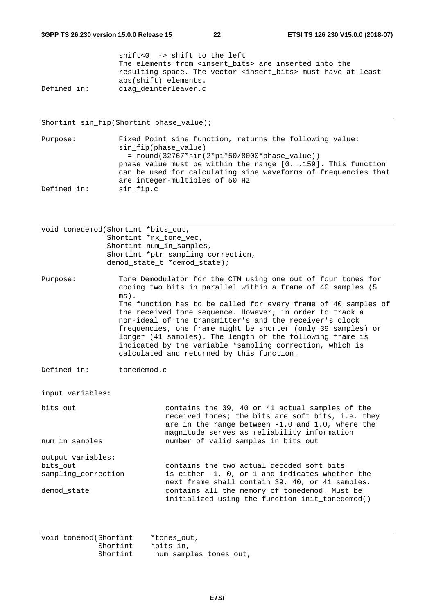|             | shift<0 -> shift to the left                                             |
|-------------|--------------------------------------------------------------------------|
|             | The elements from <insert bits=""> are inserted into the</insert>        |
|             | resulting space. The vector <insert bits=""> must have at least</insert> |
|             | abs(shift) elements.                                                     |
| Defined in: | diag deinterleaver.c                                                     |

Shortint sin\_fip(Shortint phase\_value);

Purpose: Fixed Point sine function, returns the following value: sin\_fip(phase\_value) = round(32767\*sin(2\*pi\*50/8000\*phase\_value)) phase\_value must be within the range [0...159]. This function can be used for calculating sine waveforms of frequencies that are integer-multiples of 50 Hz Defined in: sin\_fip.c

| void tonedemod(Shortint *bits_out,                                  | Shortint *rx tone vec,<br>Shortint num_in_samples,                                                                                                                                                                                                                                                                                                                                                                                                                                                                                                                    | Shortint *ptr_sampling_correction,<br>demod_state_t *demod_state);                                                                                                                                                                             |  |  |
|---------------------------------------------------------------------|-----------------------------------------------------------------------------------------------------------------------------------------------------------------------------------------------------------------------------------------------------------------------------------------------------------------------------------------------------------------------------------------------------------------------------------------------------------------------------------------------------------------------------------------------------------------------|------------------------------------------------------------------------------------------------------------------------------------------------------------------------------------------------------------------------------------------------|--|--|
| Purpose:                                                            | Tone Demodulator for the CTM using one out of four tones for<br>coding two bits in parallel within a frame of 40 samples (5<br>$ms)$ .<br>The function has to be called for every frame of 40 samples of<br>the received tone sequence. However, in order to track a<br>non-ideal of the transmitter's and the receiver's clock<br>frequencies, one frame might be shorter (only 39 samples) or<br>longer (41 samples). The length of the following frame is<br>indicated by the variable *sampling_correction, which is<br>calculated and returned by this function. |                                                                                                                                                                                                                                                |  |  |
| Defined in:                                                         | tonedemod.c                                                                                                                                                                                                                                                                                                                                                                                                                                                                                                                                                           |                                                                                                                                                                                                                                                |  |  |
| input variables:                                                    |                                                                                                                                                                                                                                                                                                                                                                                                                                                                                                                                                                       |                                                                                                                                                                                                                                                |  |  |
| bits_out<br>num in samples                                          |                                                                                                                                                                                                                                                                                                                                                                                                                                                                                                                                                                       | contains the 39, 40 or 41 actual samples of the<br>received tones; the bits are soft bits, i.e. they<br>are in the range between -1.0 and 1.0, where the<br>magnitude serves as reliability information<br>number of valid samples in bits_out |  |  |
|                                                                     |                                                                                                                                                                                                                                                                                                                                                                                                                                                                                                                                                                       |                                                                                                                                                                                                                                                |  |  |
| output variables:<br>bits out<br>sampling_correction<br>demod state |                                                                                                                                                                                                                                                                                                                                                                                                                                                                                                                                                                       | contains the two actual decoded soft bits<br>is either -1, 0, or 1 and indicates whether the<br>next frame shall contain 39, 40, or 41 samples.<br>contains all the memory of tonedemod. Must be                                               |  |  |
|                                                                     |                                                                                                                                                                                                                                                                                                                                                                                                                                                                                                                                                                       | initialized using the function init_tonedemod()                                                                                                                                                                                                |  |  |

void tonemod(Shortint \*tones\_out, Shortint \*bits\_in, Shortint num\_samples\_tones\_out,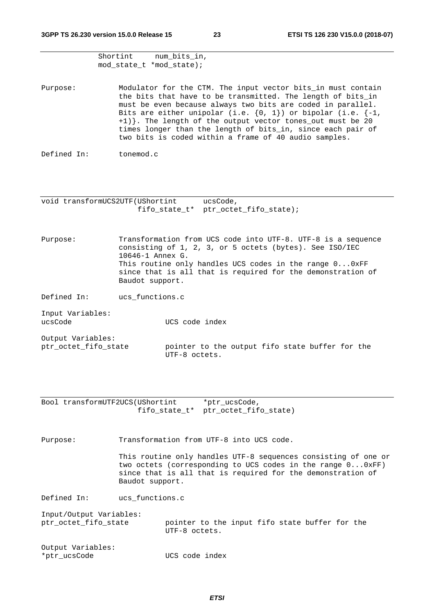| Shortint | num bits in,             |
|----------|--------------------------|
|          | mod state t *mod state); |

Purpose: Modulator for the CTM. The input vector bits in must contain the bits that have to be transmitted. The length of bits\_in must be even because always two bits are coded in parallel. Bits are either unipolar (i.e.  $\{0, 1\}$ ) or bipolar (i.e.  $\{-1,$ +1)}. The length of the output vector tones\_out must be 20 times longer than the length of bits\_in, since each pair of two bits is coded within a frame of 40 audio samples.

```
Defined In: tonemod.c
```
void transformUCS2UTF(UShortint ucsCode, fifo\_state\_t\* ptr\_octet\_fifo\_state);

Purpose: Transformation from UCS code into UTF-8. UTF-8 is a sequence consisting of 1, 2, 3, or 5 octets (bytes). See ISO/IEC 10646-1 Annex G. This routine only handles UCS codes in the range 0...0xFF since that is all that is required for the demonstration of Baudot support.

Defined In: ucs\_functions.c

Input Variables: ucsCode UCS code index

Output Variables: ptr\_octet\_fifo\_state pointer to the output fifo state buffer for the UTF-8 octets.

Bool transformUTF2UCS(UShortint \*ptr\_ucsCode, fifo\_state\_t\* ptr\_octet\_fifo\_state)

Purpose: Transformation from UTF-8 into UCS code.

This routine only handles UTF-8 sequences consisting of one or two octets (corresponding to UCS codes in the range 0...0xFF) since that is all that is required for the demonstration of Baudot support.

Defined In: ucs\_functions.c

Input/Output Variables:

ptr\_octet\_fifo\_state pointer to the input fifo state buffer for the UTF-8 octets.

Output Variables: \*ptr\_ucsCode UCS code index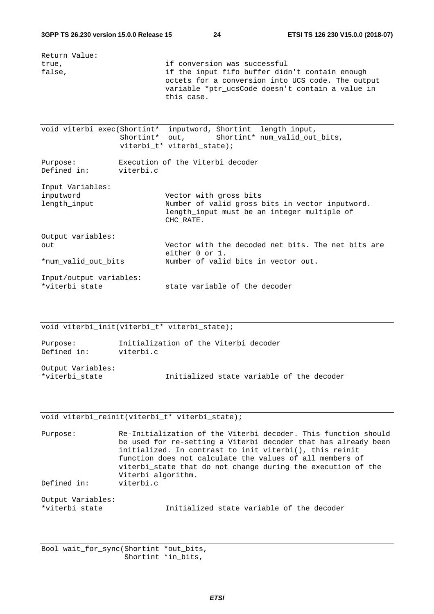| Return Value:                                   |                                                                                                                                                                                                       |
|-------------------------------------------------|-------------------------------------------------------------------------------------------------------------------------------------------------------------------------------------------------------|
| true,<br>false,                                 | if conversion was successful<br>if the input fifo buffer didn't contain enough<br>octets for a conversion into UCS code. The output<br>variable *ptr_ucsCode doesn't contain a value in<br>this case. |
|                                                 | void viterbi_exec(Shortint* inputword, Shortint length_input,<br>Shortint* out,<br>Shortint* num_valid_out_bits,<br>viterbi_t* viterbi_state);                                                        |
| Purpose:<br>Defined in:<br>viterbi.c            | Execution of the Viterbi decoder                                                                                                                                                                      |
| Input Variables:<br>inputword<br>length input   | Vector with gross bits<br>Number of valid gross bits in vector inputword.<br>length input must be an integer multiple of<br>CHC RATE.                                                                 |
| Output variables:<br>out<br>*num_valid_out_bits | Vector with the decoded net bits. The net bits are<br>either $0 \text{ or } 1$ .<br>Number of valid bits in vector out.                                                                               |
| Input/output variables:<br>*viterbi state       | state variable of the decoder                                                                                                                                                                         |

void viterbi\_init(viterbi\_t\* viterbi\_state);

| Purpose:    | Initialization of the Viterbi decoder |  |  |  |
|-------------|---------------------------------------|--|--|--|
| Defined in: | viterbi.c                             |  |  |  |

Output Variables:

\*viterbi\_state Initialized state variable of the decoder

#### void viterbi\_reinit(viterbi\_t\* viterbi\_state);

Purpose: Re-Initialization of the Viterbi decoder. This function should be used for re-setting a Viterbi decoder that has already been initialized. In contrast to init\_viterbi(), this reinit function does not calculate the values of all members of viterbi\_state that do not change during the execution of the Viterbi algorithm. Defined in: viterbi.c

Output Variables:

\*viterbi\_state Initialized state variable of the decoder

Bool wait\_for\_sync(Shortint \*out\_bits, Shortint \*in\_bits,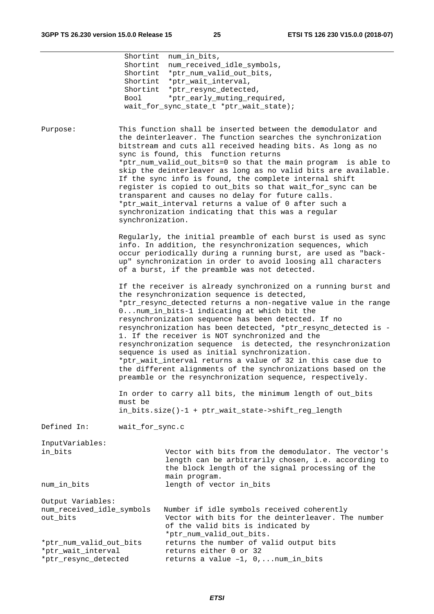|                                                                       | Shortint<br>Shortint<br>Bool | num_in_bits,<br>num_received_idle_symbols,<br>Shortint *ptr_num_valid_out_bits,<br>Shortint *ptr_wait_interval,<br>Shortint *ptr_resync_detected,<br>*ptr_early_muting_required,<br>wait_for_sync_state_t *ptr_wait_state);                                                                                                                                                                                                                                                                                                                                                                                                                                                                                             |
|-----------------------------------------------------------------------|------------------------------|-------------------------------------------------------------------------------------------------------------------------------------------------------------------------------------------------------------------------------------------------------------------------------------------------------------------------------------------------------------------------------------------------------------------------------------------------------------------------------------------------------------------------------------------------------------------------------------------------------------------------------------------------------------------------------------------------------------------------|
| Purpose:                                                              | synchronization.             | This function shall be inserted between the demodulator and<br>the deinterleaver. The function searches the synchronization<br>bitstream and cuts all received heading bits. As long as no<br>sync is found, this function returns<br>*ptr_num_valid_out_bits=0 so that the main program is able to<br>skip the deinterleaver as long as no valid bits are available.<br>If the sync info is found, the complete internal shift<br>register is copied to out_bits so that wait_for_sync can be<br>transparent and causes no delay for future calls.<br>*ptr_wait_interval returns a value of 0 after such a<br>synchronization indicating that this was a regular                                                       |
|                                                                       |                              | Regularly, the initial preamble of each burst is used as sync<br>info. In addition, the resynchronization sequences, which<br>occur periodically during a running burst, are used as "back-<br>up" synchronization in order to avoid loosing all characters<br>of a burst, if the preamble was not detected.                                                                                                                                                                                                                                                                                                                                                                                                            |
|                                                                       |                              | If the receiver is already synchronized on a running burst and<br>the resynchronization sequence is detected,<br>*ptr_resync_detected returns a non-negative value in the range<br>0num_in_bits-1 indicating at which bit the<br>resynchronization sequence has been detected. If no<br>resynchronization has been detected, *ptr_resync_detected is -<br>1. If the receiver is NOT synchronized and the<br>resynchronization sequence is detected, the resynchronization<br>sequence is used as initial synchronization.<br>*ptr_wait_interval returns a value of 32 in this case due to<br>the different alignments of the synchronizations based on the<br>preamble or the resynchronization sequence, respectively. |
|                                                                       | must be                      | In order to carry all bits, the minimum length of out_bits<br>in_bits.size()-1 + ptr_wait_state->shift_reg_length                                                                                                                                                                                                                                                                                                                                                                                                                                                                                                                                                                                                       |
| Defined In:                                                           | wait_for_sync.c              |                                                                                                                                                                                                                                                                                                                                                                                                                                                                                                                                                                                                                                                                                                                         |
| InputVariables:<br>in_bits                                            |                              | Vector with bits from the demodulator. The vector's<br>length can be arbitrarily chosen, i.e. according to<br>the block length of the signal processing of the<br>main program.                                                                                                                                                                                                                                                                                                                                                                                                                                                                                                                                         |
| num_in_bits                                                           |                              | length of vector in_bits                                                                                                                                                                                                                                                                                                                                                                                                                                                                                                                                                                                                                                                                                                |
| Output Variables:<br>num_received_idle_symbols<br>out_bits            |                              | Number if idle symbols received coherently<br>Vector with bits for the deinterleaver. The number<br>of the valid bits is indicated by<br>*ptr_num_valid_out_bits.                                                                                                                                                                                                                                                                                                                                                                                                                                                                                                                                                       |
| *ptr_num_valid_out_bits<br>*ptr_wait_interval<br>*ptr_resync_detected |                              | returns the number of valid output bits<br>returns either 0 or 32<br>returns a value -1, 0,  num_in_bits                                                                                                                                                                                                                                                                                                                                                                                                                                                                                                                                                                                                                |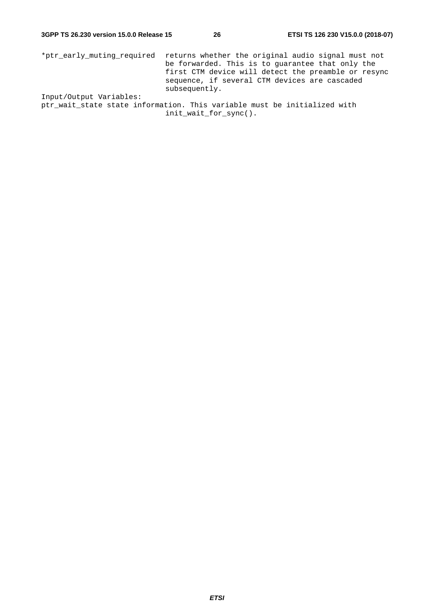\*ptr\_early\_muting\_required returns whether the original audio signal must not be forwarded. This is to guarantee that only the first CTM device will detect the preamble or resync sequence, if several CTM devices are cascaded subsequently. Input/Output Variables:

ptr\_wait\_state state information. This variable must be initialized with init\_wait\_for\_sync().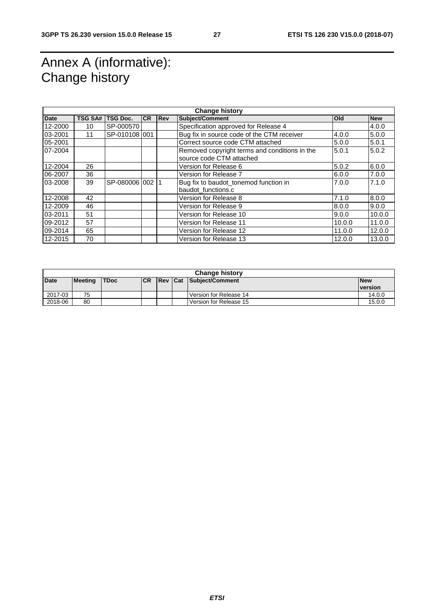### Annex A (informative): Change history

| <b>Change history</b> |                |                 |           |            |                                                                           |        |            |
|-----------------------|----------------|-----------------|-----------|------------|---------------------------------------------------------------------------|--------|------------|
| <b>Date</b>           | <b>TSG SA#</b> | <b>TSG Doc.</b> | <b>CR</b> | <b>Rev</b> | <b>Subject/Comment</b>                                                    | Old    | <b>New</b> |
| 12-2000               | 10             | SP-000570       |           |            | Specification approved for Release 4                                      |        | 4.0.0      |
| 03-2001               | 11             | SP-010108 001   |           |            | Bug fix in source code of the CTM receiver                                | 4.0.0  | 5.0.0      |
| 05-2001               |                |                 |           |            | Correct source code CTM attached                                          | 5.0.0  | 5.0.1      |
| 07-2004               |                |                 |           |            | Removed copyright terms and conditions in the<br>source code CTM attached | 5.0.1  | 5.0.2      |
| 12-2004               | 26             |                 |           |            | Version for Release 6                                                     | 5.0.2  | 6.0.0      |
| 06-2007               | 36             |                 |           |            | Version for Release 7                                                     | 6.0.0  | 7.0.0      |
| 03-2008               | 39             | SP-080006 002   |           |            | Bug fix to baudot_tonemod function in<br>baudot_functions.c               | 7.0.0  | 7.1.0      |
| 12-2008               | 42             |                 |           |            | Version for Release 8                                                     | 7.1.0  | 8.0.0      |
|                       |                |                 |           |            |                                                                           |        |            |
| 12-2009               | 46             |                 |           |            | Version for Release 9                                                     | 8.0.0  | 9.0.0      |
| 03-2011               | 51             |                 |           |            | Version for Release 10                                                    | 9.0.0  | 10.0.0     |
| 09-2012               | 57             |                 |           |            | Version for Release 11                                                    | 10.0.0 | 11.0.0     |
| 09-2014               | 65             |                 |           |            | Version for Release 12                                                    | 11.0.0 | 12.0.0     |
| 12-2015               | 70             |                 |           |            | Version for Release 13                                                    | 12.0.0 | 13.0.0     |

| <b>Change history</b>                                                                        |    |  |  |  |            |                        |                |  |
|----------------------------------------------------------------------------------------------|----|--|--|--|------------|------------------------|----------------|--|
| <b>Date</b><br><b>Rev Cat Subject/Comment</b><br><b>ICR</b><br><b>Meeting</b><br><b>TDoc</b> |    |  |  |  | <b>New</b> |                        |                |  |
|                                                                                              |    |  |  |  |            |                        | <b>version</b> |  |
| 2017-03                                                                                      | 75 |  |  |  |            | Version for Release 14 | 14.0.0         |  |
| 2018-06                                                                                      | 80 |  |  |  |            | Version for Release 15 | 15.0.0         |  |